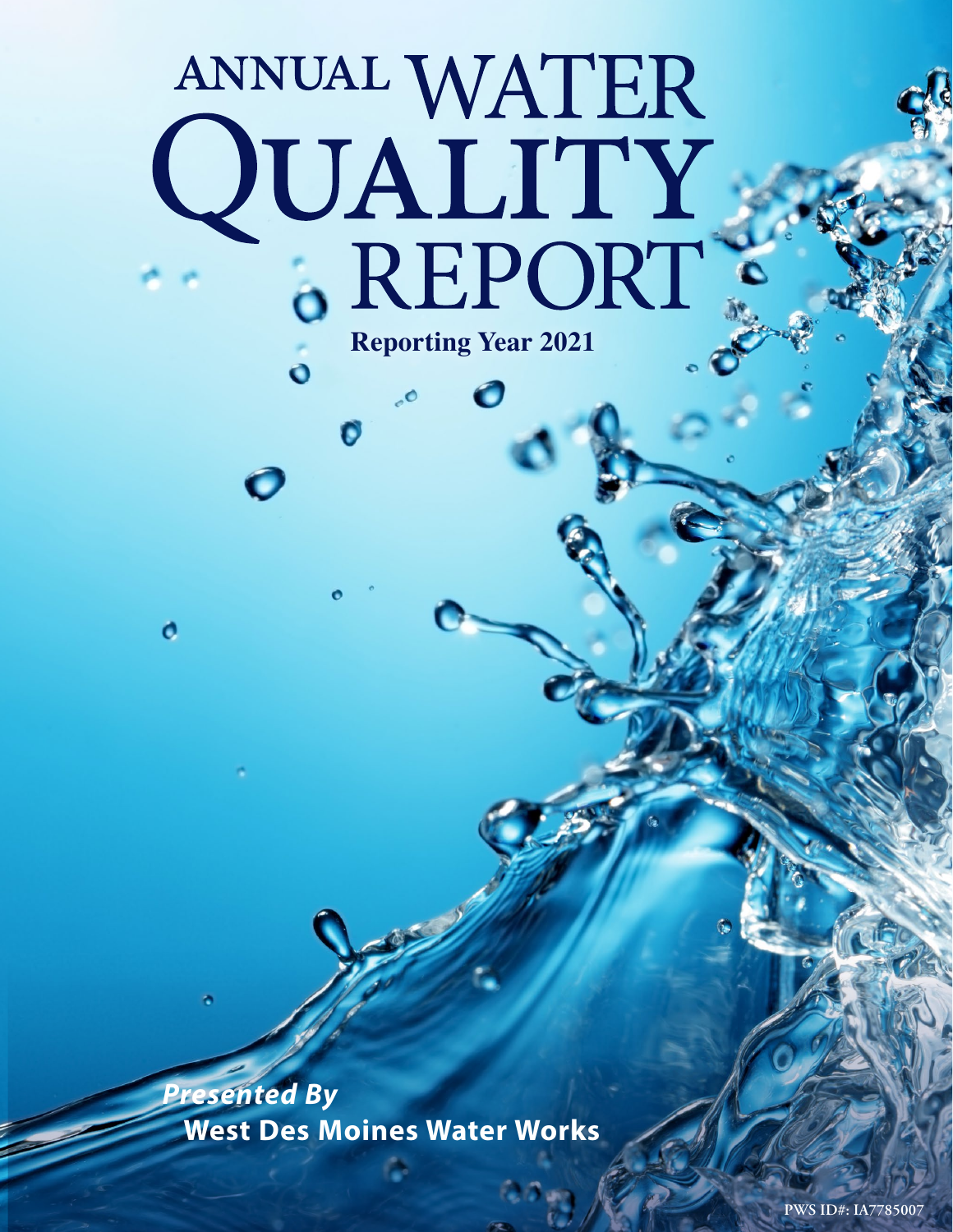# ANNUAL WATER QUALITY<br>.REPORT **Reporting Year 2021**

 $\bullet$ 

 $\ddot{\mathbf{o}}$ 

Ó

*Presented By* **West Des Moines Water Works**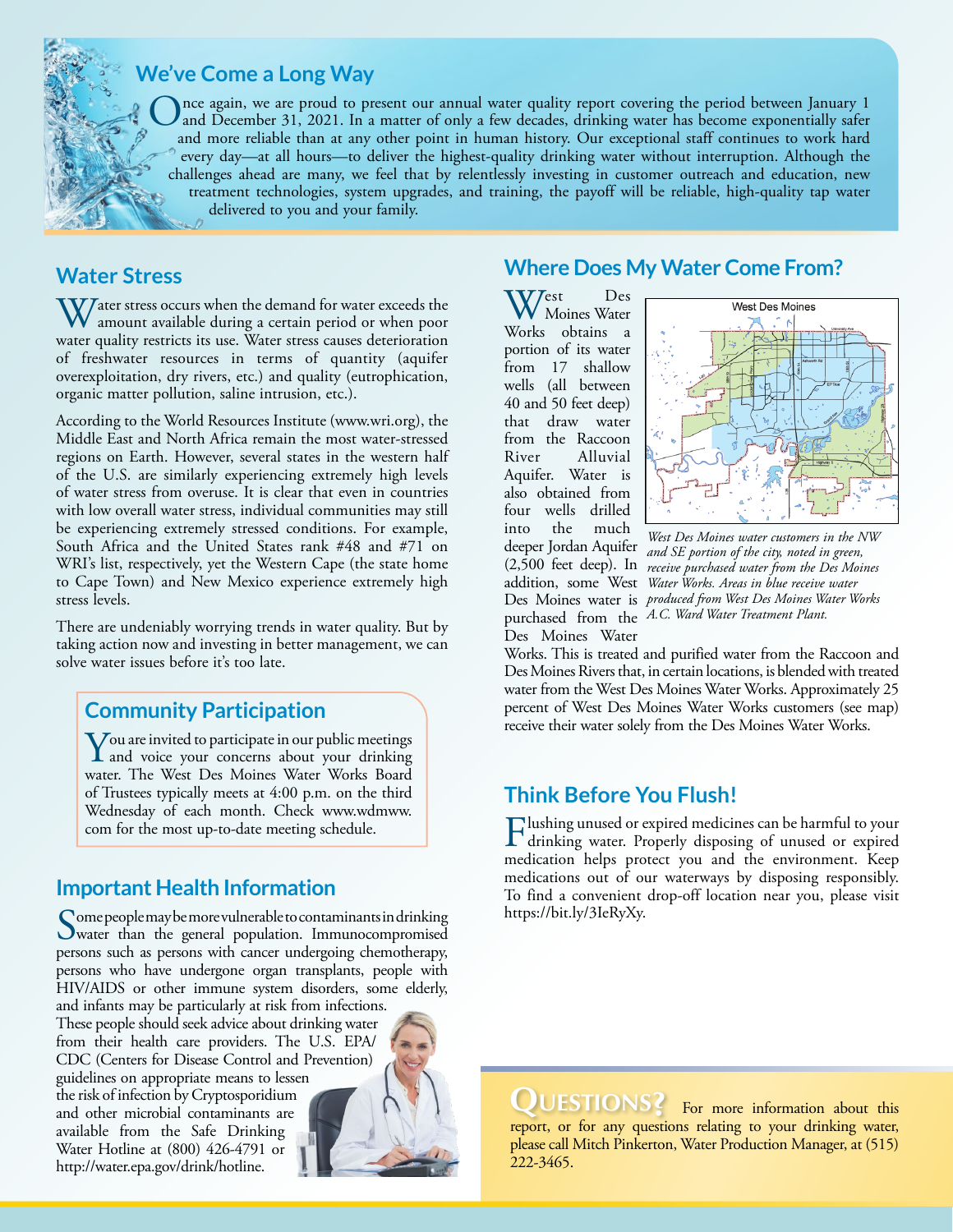

# **We've Come a Long Way**

Once again, we are proud to present our annual water quality report covering the period between January 1 and December 31, 2021. In a matter of only a few decades, drinking water has become exponentially safer and more reliable than at any other point in human history. Our exceptional staff continues to work hard every day—at all hours—to deliver the highest-quality drinking water without interruption. Although the challenges ahead are many, we feel that by relentlessly investing in customer outreach and education, new treatment technologies, system upgrades, and training, the payoff will be reliable, high-quality tap water delivered to you and your family.

# **Water Stress**

 $\bf V$  ater stress occurs when the demand for water exceeds the amount available during a certain period or when poor water quality restricts its use. Water stress causes deterioration of freshwater resources in terms of quantity (aquifer overexploitation, dry rivers, etc.) and quality (eutrophication, organic matter pollution, saline intrusion, etc.).

According to the World Resources Institute [\(www.wri.org\)](http://www.wri.org), the Middle East and North Africa remain the most water-stressed regions on Earth. However, several states in the western half of the U.S. are similarly experiencing extremely high levels of water stress from overuse. It is clear that even in countries with low overall water stress, individual communities may still be experiencing extremely stressed conditions. For example, South Africa and the United States rank #48 and #71 on WRI's list, respectively, yet the Western Cape (the state home to Cape Town) and New Mexico experience extremely high stress levels.

There are undeniably worrying trends in water quality. But by taking action now and investing in better management, we can solve water issues before it's too late.

# **Community Participation**

**Y**ou are invited to participate in our public meetings<br>and voice your concerns about your drinking<br>when Warks Beard water. The West Des Moines Water Works Board of Trustees typically meets at 4:00 p.m. on the third Wednesday of each month. Check [www.wdmww.](http://www.wdmww.com) [com](http://www.wdmww.com) for the most up-to-date meeting schedule.

# **Important Health Information**

Some people may be more vulnerable to contaminants in drinking<br>water than the general population. Immunocompromised persons such as persons with cancer undergoing chemotherapy, persons who have undergone organ transplants, people with HIV/AIDS or other immune system disorders, some elderly,

and infants may be particularly at risk from infections. These people should seek advice about drinking water from their health care providers. The U.S. EPA/ CDC (Centers for Disease Control and Prevention) guidelines on appropriate means to lessen the risk of infection by Cryptosporidium

and other microbial contaminants are available from the Safe Drinking Water Hotline at (800) 426-4791 or [http://water.epa.gov/drink/hotline.](http://water.epa.gov/drink/hotline)



# **Where Does My Water Come From?**

West Des<br>Wolfe eksine Works obtains a portion of its water from 17 shallow wells (all between 40 and 50 feet deep) that draw water from the Raccoon River Alluvial Aquifer. Water is also obtained from four wells drilled into the much (2,500 feet deep). In Des Moines Water



deeper Jordan Aquifer *and SE portion of the city, noted in green,*  addition, some West *Water Works. Areas in blue receive water*  Des Moines water is *produced from West Des Moines Water Works*  purchased from the *A.C. Ward Water Treatment Plant. West Des Moines water customers in the NW receive purchased water from the Des Moines* 

Works. This is treated and purified water from the Raccoon and Des Moines Rivers that, in certain locations, is blended with treated water from the West Des Moines Water Works. Approximately 25 percent of West Des Moines Water Works customers (see map) receive their water solely from the Des Moines Water Works.

# **Think Before You Flush!**

Flushing unused or expired medicines can be harmful to your drinking water. Properly disposing of unused or expired medication helps protect you and the environment. Keep medications out of our waterways by disposing responsibly. To find a convenient drop-off location near you, please visit [https://bit.ly/3IeRyXy.](https://bit.ly/3IeRyXy)

QUESTIONS? For more information about this report, or for any questions relating to your drinking water, please call Mitch Pinkerton, Water Production Manager, at (515) 222-3465.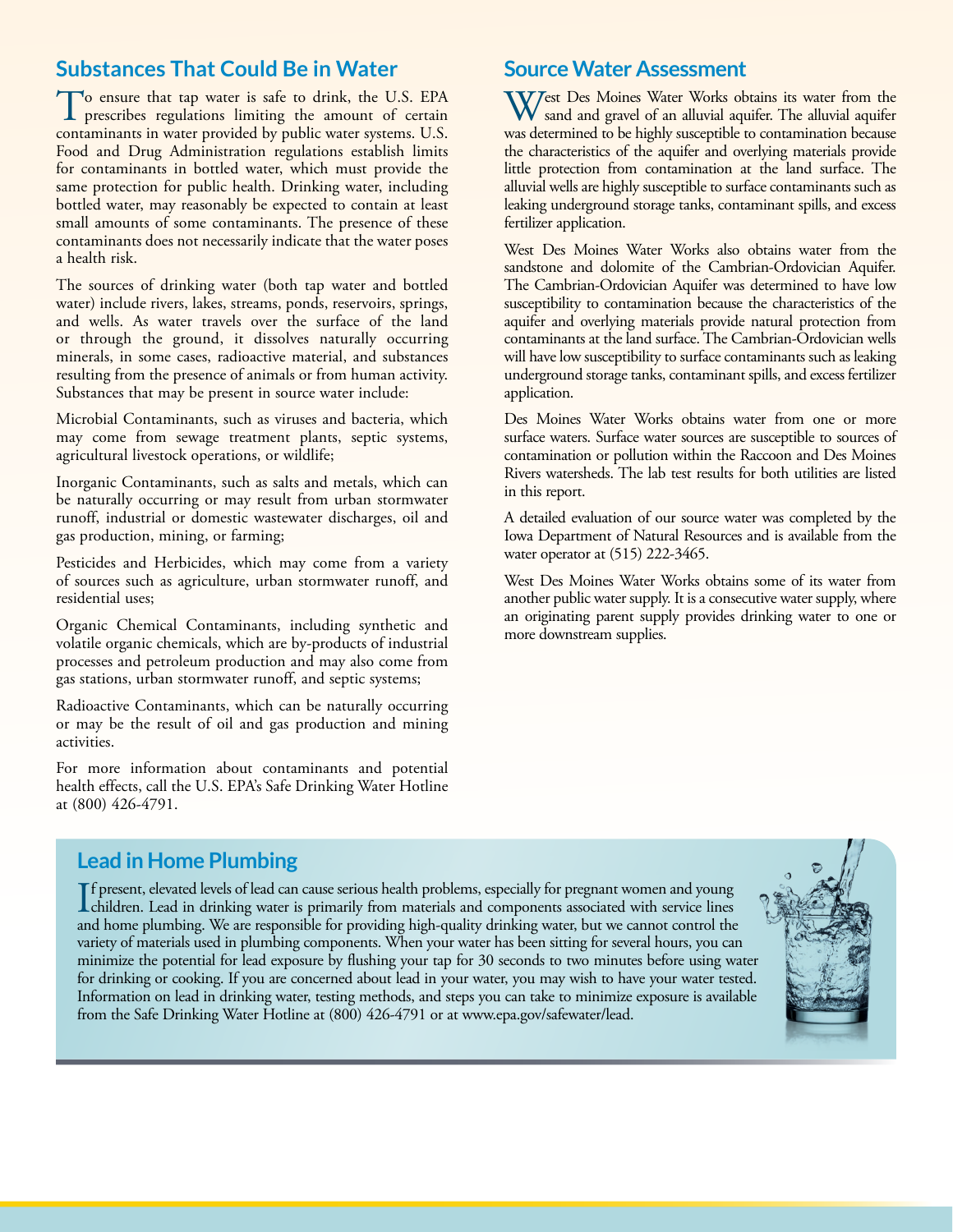# **Substances That Could Be in Water**

To ensure that tap water is safe to drink, the U.S. EPA prescribes regulations limiting the amount of certain contaminants in water provided by public water systems. U.S. Food and Drug Administration regulations establish limits for contaminants in bottled water, which must provide the same protection for public health. Drinking water, including bottled water, may reasonably be expected to contain at least small amounts of some contaminants. The presence of these contaminants does not necessarily indicate that the water poses a health risk.

The sources of drinking water (both tap water and bottled water) include rivers, lakes, streams, ponds, reservoirs, springs, and wells. As water travels over the surface of the land or through the ground, it dissolves naturally occurring minerals, in some cases, radioactive material, and substances resulting from the presence of animals or from human activity. Substances that may be present in source water include:

Microbial Contaminants, such as viruses and bacteria, which may come from sewage treatment plants, septic systems, agricultural livestock operations, or wildlife;

Inorganic Contaminants, such as salts and metals, which can be naturally occurring or may result from urban stormwater runoff, industrial or domestic wastewater discharges, oil and gas production, mining, or farming;

Pesticides and Herbicides, which may come from a variety of sources such as agriculture, urban stormwater runoff, and residential uses;

Organic Chemical Contaminants, including synthetic and volatile organic chemicals, which are by-products of industrial processes and petroleum production and may also come from gas stations, urban stormwater runoff, and septic systems;

Radioactive Contaminants, which can be naturally occurring or may be the result of oil and gas production and mining activities.

For more information about contaminants and potential health effects, call the U.S. EPA's Safe Drinking Water Hotline at (800) 426-4791.

## **Source Water Assessment**

West Des Moines Water Works obtains its water from the sand and gravel of an alluvial aquifer. The alluvial aquifer was determined to be highly susceptible to contamination because the characteristics of the aquifer and overlying materials provide little protection from contamination at the land surface. The alluvial wells are highly susceptible to surface contaminants such as leaking underground storage tanks, contaminant spills, and excess fertilizer application.

West Des Moines Water Works also obtains water from the sandstone and dolomite of the Cambrian-Ordovician Aquifer. The Cambrian-Ordovician Aquifer was determined to have low susceptibility to contamination because the characteristics of the aquifer and overlying materials provide natural protection from contaminants at the land surface. The Cambrian-Ordovician wells will have low susceptibility to surface contaminants such as leaking underground storage tanks, contaminant spills, and excess fertilizer application.

Des Moines Water Works obtains water from one or more surface waters. Surface water sources are susceptible to sources of contamination or pollution within the Raccoon and Des Moines Rivers watersheds. The lab test results for both utilities are listed in this report.

A detailed evaluation of our source water was completed by the Iowa Department of Natural Resources and is available from the water operator at (515) 222-3465.

West Des Moines Water Works obtains some of its water from another public water supply. It is a consecutive water supply, where an originating parent supply provides drinking water to one or more downstream supplies.

## **Lead in Home Plumbing**

If present, elevated levels of lead can cause serious health problems, especially for pregnant women and young<br>children. Lead in drinking water is primarily from materials and components associated with service lines<br>and h f present, elevated levels of lead can cause serious health problems, especially for pregnant women and young and home plumbing. We are responsible for providing high-quality drinking water, but we cannot control the variety of materials used in plumbing components. When your water has been sitting for several hours, you can minimize the potential for lead exposure by flushing your tap for 30 seconds to two minutes before using water for drinking or cooking. If you are concerned about lead in your water, you may wish to have your water tested. Information on lead in drinking water, testing methods, and steps you can take to minimize exposure is available from the Safe Drinking Water Hotline at (800) 426-4791 or at [www.epa.gov/safewater/lead.](http://www.epa.gov/safewater/lead)

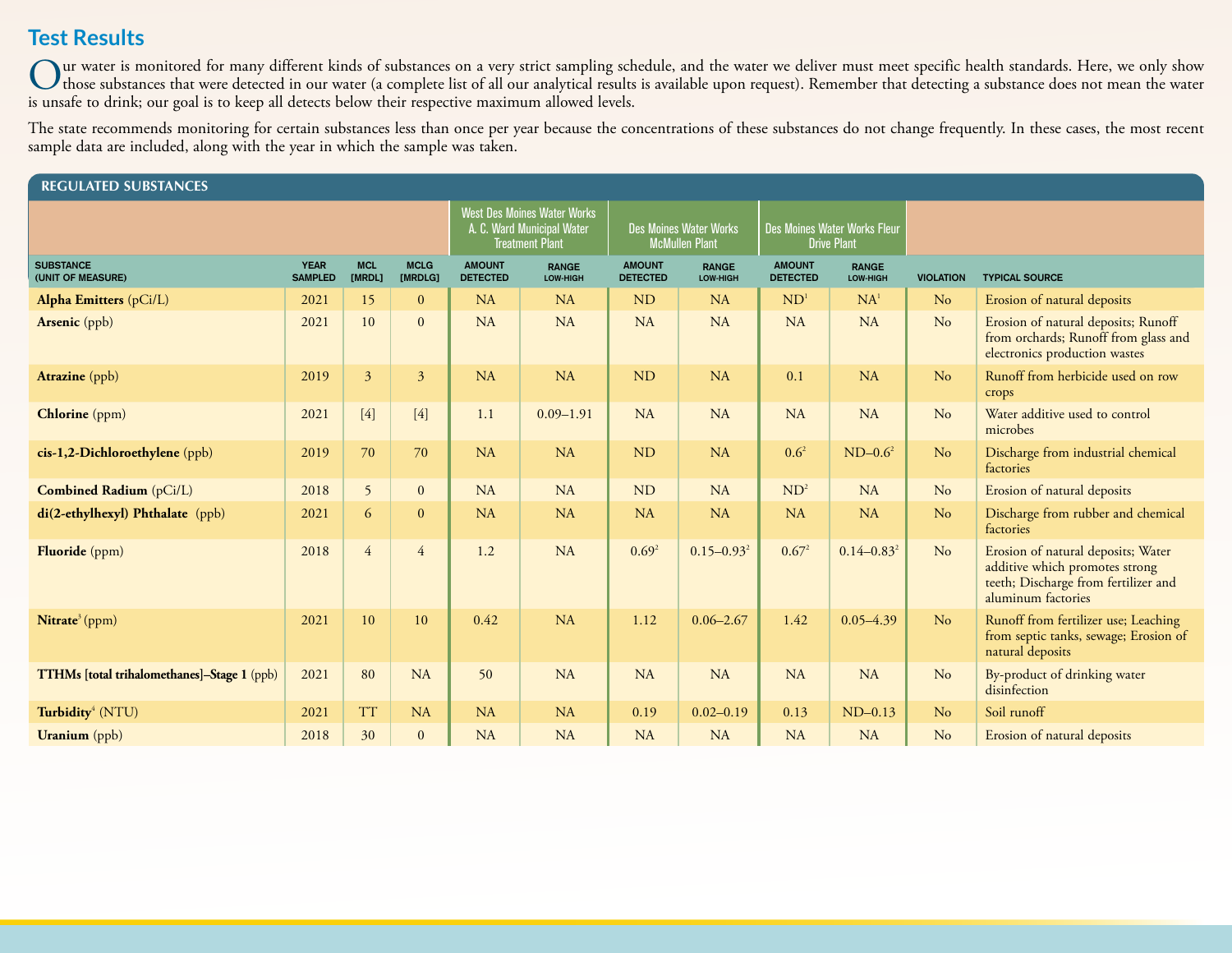# **Test Results**

Our water is monitored for many different kinds of substances on a very strict sampling schedule, and the water we deliver must meet specific health standards. Here, we only show<br>those substances that were detected in our is unsafe to drink; our goal is to keep all detects below their respective maximum allowed levels.

The state recommends monitoring for certain substances less than once per year because the concentrations of these substances do not change frequently. In these cases, the most recent sample data are included, along with the year in which the sample was taken.

| <b>REGULATED SUBSTANCES</b>                 |                                                                                            |                      |                                                        |                                  |                                                    |                                  |                          |                                  |                                              |                |                                                                                                                                    |  |
|---------------------------------------------|--------------------------------------------------------------------------------------------|----------------------|--------------------------------------------------------|----------------------------------|----------------------------------------------------|----------------------------------|--------------------------|----------------------------------|----------------------------------------------|----------------|------------------------------------------------------------------------------------------------------------------------------------|--|
|                                             | <b>West Des Moines Water Works</b><br>A. C. Ward Municipal Water<br><b>Treatment Plant</b> |                      | <b>Des Moines Water Works</b><br><b>McMullen Plant</b> |                                  | Des Moines Water Works Fleur<br><b>Drive Plant</b> |                                  |                          |                                  |                                              |                |                                                                                                                                    |  |
| <b>SUBSTANCE</b><br>(UNIT OF MEASURE)       | <b>YEAR</b><br><b>SAMPLED</b>                                                              | <b>MCL</b><br>[MRDL] | <b>MCLG</b><br>[MRDLG]                                 | <b>AMOUNT</b><br><b>DETECTED</b> | <b>RANGE</b><br>LOW-HIGH                           | <b>AMOUNT</b><br><b>DETECTED</b> | <b>RANGE</b><br>LOW-HIGH | <b>AMOUNT</b><br><b>DETECTED</b> | <b>RANGE</b><br>LOW-HIGH<br><b>VIOLATION</b> |                | <b>TYPICAL SOURCE</b>                                                                                                              |  |
| Alpha Emitters (pCi/L)                      | 2021                                                                                       | 15                   | $\overline{0}$                                         | <b>NA</b>                        | <b>NA</b>                                          | <b>ND</b>                        | <b>NA</b>                | ND <sup>1</sup>                  | NA <sup>1</sup>                              | N <sub>o</sub> | Erosion of natural deposits                                                                                                        |  |
| <b>Arsenic</b> (ppb)                        | 2021                                                                                       | 10                   | $\Omega$                                               | NA                               | <b>NA</b>                                          | <b>NA</b>                        | <b>NA</b>                | NA                               | <b>NA</b>                                    | No             | Erosion of natural deposits; Runoff<br>from orchards; Runoff from glass and<br>electronics production wastes                       |  |
| <b>Atrazine</b> (ppb)                       | 2019                                                                                       | 3                    | $\overline{3}$                                         | <b>NA</b>                        | NA                                                 | <b>ND</b>                        | <b>NA</b>                | 0.1                              | NA                                           | No             | Runoff from herbicide used on row<br>crops                                                                                         |  |
| <b>Chlorine</b> (ppm)                       | 2021                                                                                       | $[4]$                | $[4]$                                                  | 1.1                              | $0.09 - 1.91$                                      | <b>NA</b>                        | <b>NA</b>                | NA                               | <b>NA</b>                                    | No             | Water additive used to control<br>microbes                                                                                         |  |
| cis-1,2-Dichloroethylene (ppb)              | 2019                                                                                       | 70                   | 70                                                     | <b>NA</b>                        | NA                                                 | <b>ND</b>                        | <b>NA</b>                | $0.6^2$                          | $ND-0.6^2$                                   | N <sub>o</sub> | Discharge from industrial chemical<br>factories                                                                                    |  |
| <b>Combined Radium</b> (pCi/L)              | 2018                                                                                       | 5                    | $\overline{0}$                                         | <b>NA</b>                        | <b>NA</b>                                          | <b>ND</b>                        | <b>NA</b>                | ND <sup>2</sup>                  | <b>NA</b>                                    | No             | Erosion of natural deposits                                                                                                        |  |
| $di(2-ethylhexyl)$ Phthalate (ppb)          | 2021                                                                                       | 6                    | $\Omega$                                               | <b>NA</b>                        | NA                                                 | <b>NA</b>                        | <b>NA</b>                | <b>NA</b>                        | <b>NA</b>                                    | N <sub>o</sub> | Discharge from rubber and chemical<br>factories                                                                                    |  |
| Fluoride (ppm)                              | 2018                                                                                       | $\overline{4}$       | $\overline{4}$                                         | 1.2                              | <b>NA</b>                                          | 0.69 <sup>2</sup>                | $0.15 - 0.93^2$          | $0.67^{2}$                       | $0.14 - 0.83^2$                              | N <sub>o</sub> | Erosion of natural deposits; Water<br>additive which promotes strong<br>teeth; Discharge from fertilizer and<br>aluminum factories |  |
| Nitrate <sup>3</sup> (ppm)                  | 2021                                                                                       | 10                   | 10                                                     | 0.42                             | <b>NA</b>                                          | 1.12                             | $0.06 - 2.67$            | 1.42                             | $0.05 - 4.39$                                | N <sub>o</sub> | Runoff from fertilizer use; Leaching<br>from septic tanks, sewage; Erosion of<br>natural deposits                                  |  |
| TTHMs [total trihalomethanes]-Stage 1 (ppb) | 2021                                                                                       | 80                   | <b>NA</b>                                              | 50                               | <b>NA</b>                                          | <b>NA</b>                        | <b>NA</b>                | <b>NA</b>                        | <b>NA</b>                                    | No             | By-product of drinking water<br>disinfection                                                                                       |  |
| Turbidity <sup>4</sup> (NTU)                | 2021                                                                                       | <b>TT</b>            | NA                                                     | <b>NA</b>                        | <b>NA</b>                                          | 0.19                             | $0.02 - 0.19$            | 0.13                             | $ND-0.13$                                    | No             | Soil runoff                                                                                                                        |  |
| <b>Uranium</b> (ppb)                        | 2018                                                                                       | 30                   | $\overline{0}$                                         | NA                               | <b>NA</b>                                          | <b>NA</b>                        | NA                       | NA                               | NA                                           | No             | Erosion of natural deposits                                                                                                        |  |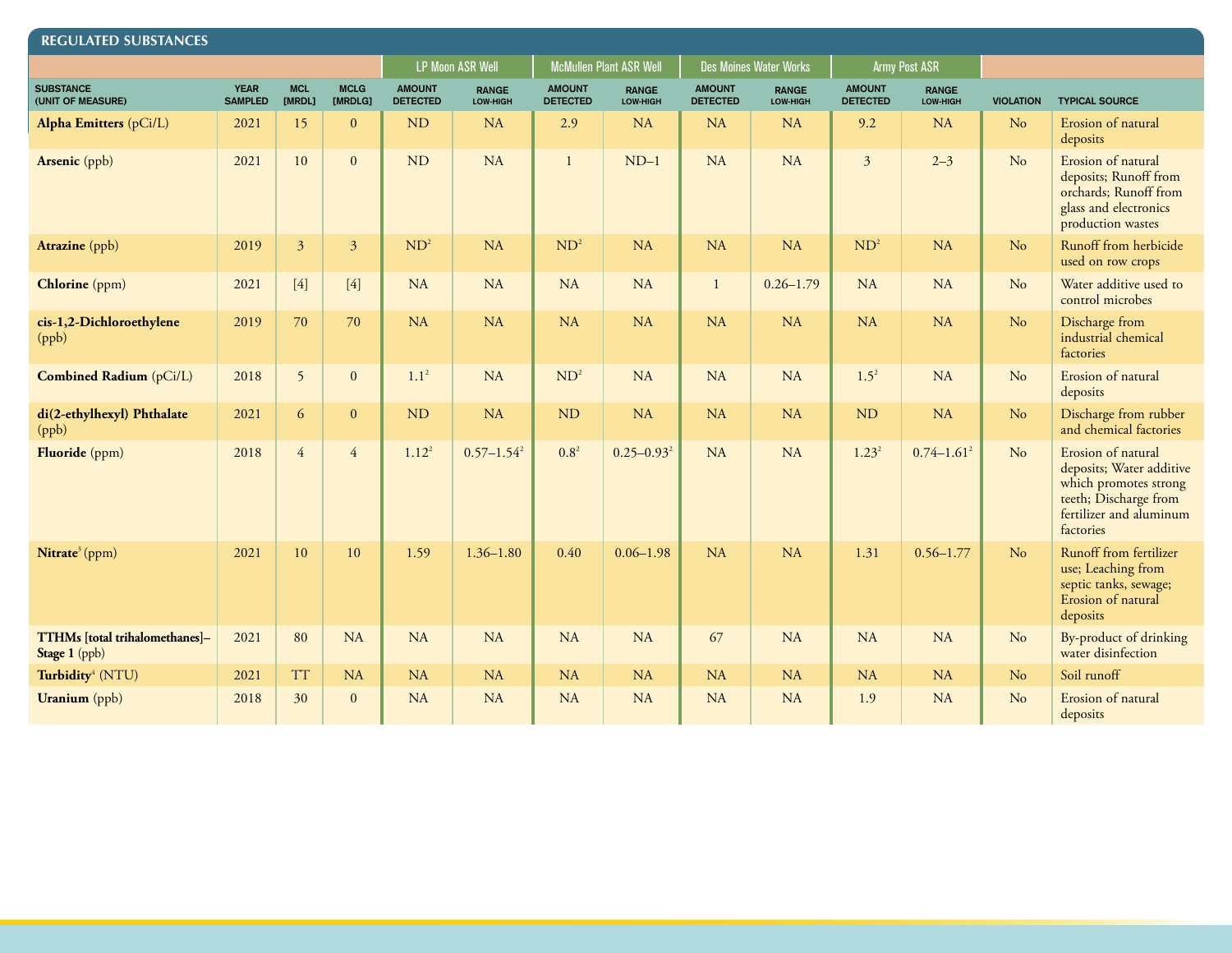| <b>REGULATED SUBSTANCES</b>                     |                               |                      |                        |                                  |                          |                                  |                          |                                  |                               |                                  |                          |                  |                                                                                                                                          |  |
|-------------------------------------------------|-------------------------------|----------------------|------------------------|----------------------------------|--------------------------|----------------------------------|--------------------------|----------------------------------|-------------------------------|----------------------------------|--------------------------|------------------|------------------------------------------------------------------------------------------------------------------------------------------|--|
|                                                 |                               |                      |                        |                                  | <b>LP Moon ASR Well</b>  |                                  | McMullen Plant ASR Well  |                                  | <b>Des Moines Water Works</b> | <b>Army Post ASR</b>             |                          |                  |                                                                                                                                          |  |
| <b>SUBSTANCE</b><br>(UNIT OF MEASURE)           | <b>YEAR</b><br><b>SAMPLED</b> | <b>MCL</b><br>[MRDL] | <b>MCLG</b><br>[MRDLG] | <b>AMOUNT</b><br><b>DETECTED</b> | <b>RANGE</b><br>LOW-HIGH | <b>AMOUNT</b><br><b>DETECTED</b> | <b>RANGE</b><br>LOW-HIGH | <b>AMOUNT</b><br><b>DETECTED</b> | <b>RANGE</b><br>LOW-HIGH      | <b>AMOUNT</b><br><b>DETECTED</b> | <b>RANGE</b><br>LOW-HIGH | <b>VIOLATION</b> | <b>TYPICAL SOURCE</b>                                                                                                                    |  |
| <b>Alpha Emitters</b> (pCi/L)                   | 2021                          | 15                   | $\mathbf{0}$           | <b>ND</b>                        | <b>NA</b>                | 2.9                              | <b>NA</b>                | <b>NA</b>                        | <b>NA</b>                     | 9.2                              | <b>NA</b>                | N <sub>o</sub>   | Erosion of natural<br>deposits                                                                                                           |  |
| Arsenic (ppb)                                   | 2021                          | 10                   | $\mathbf{0}$           | <b>ND</b>                        | NA                       | $\mathbf{1}$                     | $ND-1$                   | NA                               | <b>NA</b>                     | $\overline{3}$                   | $2 - 3$                  | N <sub>o</sub>   | Erosion of natural<br>deposits; Runoff from<br>orchards; Runoff from<br>glass and electronics<br>production wastes                       |  |
| Atrazine (ppb)                                  | 2019                          | $\mathfrak{Z}$       | $\mathfrak{Z}$         | ND <sup>2</sup>                  | <b>NA</b>                | ND <sup>2</sup>                  | <b>NA</b>                | <b>NA</b>                        | <b>NA</b>                     | ND <sup>2</sup>                  | <b>NA</b>                | N <sub>o</sub>   | Runoff from herbicide<br>used on row crops                                                                                               |  |
| Chlorine (ppm)                                  | 2021                          | $[4]$                | $[4]$                  | <b>NA</b>                        | <b>NA</b>                | <b>NA</b>                        | NA                       | $\mathbf{1}$                     | $0.26 - 1.79$                 | NA                               | <b>NA</b>                | N <sub>o</sub>   | Water additive used to<br>control microbes                                                                                               |  |
| cis-1,2-Dichloroethylene<br>(ppb)               | 2019                          | 70                   | 70                     | NA                               | <b>NA</b>                | <b>NA</b>                        | <b>NA</b>                | <b>NA</b>                        | <b>NA</b>                     | <b>NA</b>                        | NA                       | N <sub>o</sub>   | Discharge from<br>industrial chemical<br>factories                                                                                       |  |
| Combined Radium (pCi/L)                         | 2018                          | 5                    | $\mathbf{0}$           | $1.1^2$                          | NA                       | ND <sup>2</sup>                  | <b>NA</b>                | <b>NA</b>                        | <b>NA</b>                     | $1.5^{2}$                        | NA                       | N <sub>o</sub>   | Erosion of natural<br>deposits                                                                                                           |  |
| di(2-ethylhexyl) Phthalate<br>(ppb)             | 2021                          | 6                    | $\mathbf{0}$           | <b>ND</b>                        | <b>NA</b>                | ND                               | <b>NA</b>                | <b>NA</b>                        | <b>NA</b>                     | <b>ND</b>                        | <b>NA</b>                | N <sub>o</sub>   | Discharge from rubber<br>and chemical factories                                                                                          |  |
| Fluoride (ppm)                                  | 2018                          | $\overline{4}$       | $\overline{4}$         | $1.12^{2}$                       | $0.57 - 1.54^2$          | $0.8^{2}$                        | $0.25 - 0.93^2$          | <b>NA</b>                        | <b>NA</b>                     | $1.23^{2}$                       | $0.74 - 1.61^2$          | N <sub>o</sub>   | Erosion of natural<br>deposits; Water additive<br>which promotes strong<br>teeth; Discharge from<br>fertilizer and aluminum<br>factories |  |
| Nitrate <sup>3</sup> (ppm)                      | 2021                          | 10                   | 10                     | 1.59                             | $1.36 - 1.80$            | 0.40                             | $0.06 - 1.98$            | <b>NA</b>                        | <b>NA</b>                     | 1.31                             | $0.56 - 1.77$            | No               | Runoff from fertilizer<br>use; Leaching from<br>septic tanks, sewage;<br>Erosion of natural<br>deposits                                  |  |
| TTHMs [total trihalomethanes]-<br>Stage 1 (ppb) | 2021                          | 80                   | <b>NA</b>              | <b>NA</b>                        | <b>NA</b>                | <b>NA</b>                        | <b>NA</b>                | 67                               | <b>NA</b>                     | <b>NA</b>                        | NA                       | N <sub>o</sub>   | By-product of drinking<br>water disinfection                                                                                             |  |
| Turbidity <sup>4</sup> (NTU)                    | 2021                          | <b>TT</b>            | <b>NA</b>              | <b>NA</b>                        | <b>NA</b>                | <b>NA</b>                        | <b>NA</b>                | <b>NA</b>                        | <b>NA</b>                     | NA                               | NA                       | N <sub>o</sub>   | Soil runoff                                                                                                                              |  |
| <b>Uranium</b> (ppb)                            | 2018                          | 30                   | $\mathbf{0}$           | <b>NA</b>                        | <b>NA</b>                | <b>NA</b>                        | <b>NA</b>                | <b>NA</b>                        | <b>NA</b>                     | 1.9                              | <b>NA</b>                | N <sub>o</sub>   | Erosion of natural<br>deposits                                                                                                           |  |